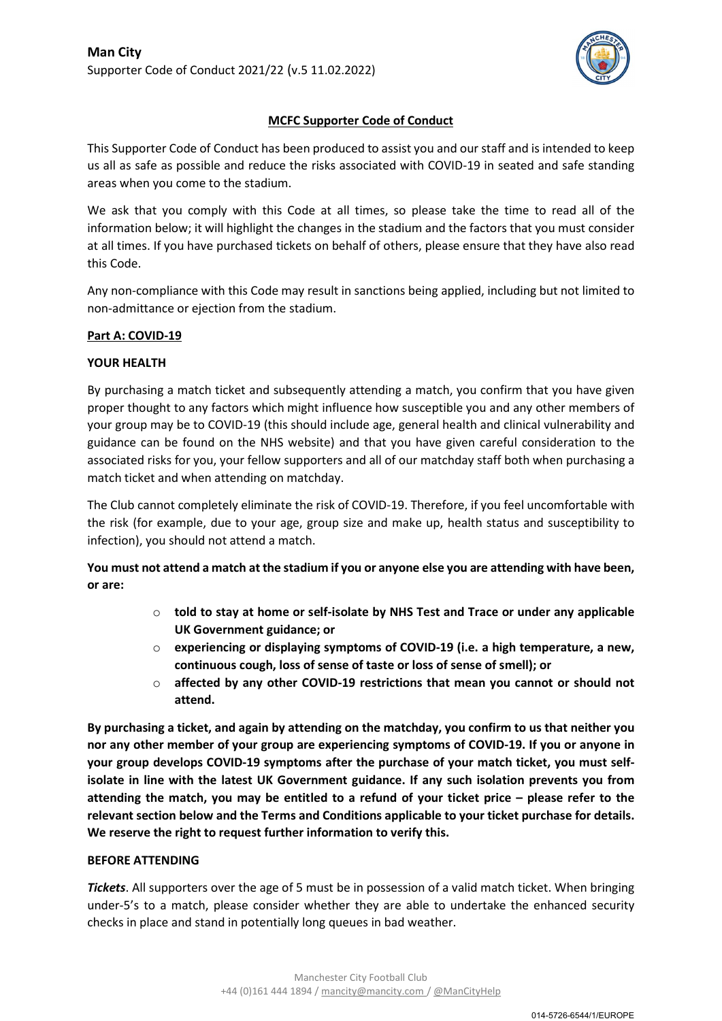

# MCFC Supporter Code of Conduct

This Supporter Code of Conduct has been produced to assist you and our staff and is intended to keep us all as safe as possible and reduce the risks associated with COVID-19 in seated and safe standing areas when you come to the stadium.

We ask that you comply with this Code at all times, so please take the time to read all of the information below; it will highlight the changes in the stadium and the factors that you must consider at all times. If you have purchased tickets on behalf of others, please ensure that they have also read this Code.

Any non-compliance with this Code may result in sanctions being applied, including but not limited to non-admittance or ejection from the stadium.

### Part A: COVID-19

### YOUR HEALTH

By purchasing a match ticket and subsequently attending a match, you confirm that you have given proper thought to any factors which might influence how susceptible you and any other members of your group may be to COVID-19 (this should include age, general health and clinical vulnerability and guidance can be found on the NHS website) and that you have given careful consideration to the associated risks for you, your fellow supporters and all of our matchday staff both when purchasing a match ticket and when attending on matchday.

The Club cannot completely eliminate the risk of COVID-19. Therefore, if you feel uncomfortable with the risk (for example, due to your age, group size and make up, health status and susceptibility to infection), you should not attend a match.

You must not attend a match at the stadium if you or anyone else you are attending with have been, or are:

- $\circ$  told to stay at home or self-isolate by NHS Test and Trace or under any applicable UK Government guidance; or
- $\circ$  experiencing or displaying symptoms of COVID-19 (i.e. a high temperature, a new, continuous cough, loss of sense of taste or loss of sense of smell); or
- $\circ$  affected by any other COVID-19 restrictions that mean you cannot or should not attend.

By purchasing a ticket, and again by attending on the matchday, you confirm to us that neither you nor any other member of your group are experiencing symptoms of COVID-19. If you or anyone in your group develops COVID-19 symptoms after the purchase of your match ticket, you must selfisolate in line with the latest UK Government guidance. If any such isolation prevents you from attending the match, you may be entitled to a refund of your ticket price – please refer to the relevant section below and the Terms and Conditions applicable to your ticket purchase for details. We reserve the right to request further information to verify this.

### BEFORE ATTENDING

**Tickets.** All supporters over the age of 5 must be in possession of a valid match ticket. When bringing under-5's to a match, please consider whether they are able to undertake the enhanced security checks in place and stand in potentially long queues in bad weather.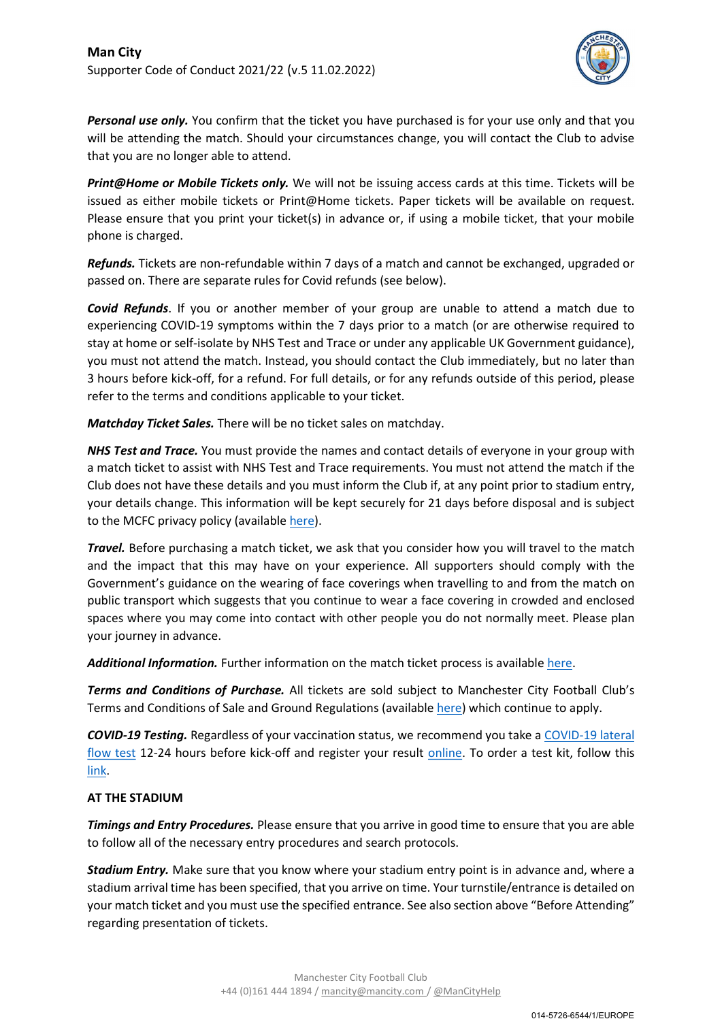

**Personal use only.** You confirm that the ticket you have purchased is for your use only and that you will be attending the match. Should your circumstances change, you will contact the Club to advise that you are no longer able to attend.

Print@Home or Mobile Tickets only. We will not be issuing access cards at this time. Tickets will be issued as either mobile tickets or Print@Home tickets. Paper tickets will be available on request. Please ensure that you print your ticket(s) in advance or, if using a mobile ticket, that your mobile phone is charged.

Refunds. Tickets are non-refundable within 7 days of a match and cannot be exchanged, upgraded or passed on. There are separate rules for Covid refunds (see below).

**Covid Refunds**. If you or another member of your group are unable to attend a match due to experiencing COVID-19 symptoms within the 7 days prior to a match (or are otherwise required to stay at home or self-isolate by NHS Test and Trace or under any applicable UK Government guidance), you must not attend the match. Instead, you should contact the Club immediately, but no later than 3 hours before kick-off, for a refund. For full details, or for any refunds outside of this period, please refer to the terms and conditions applicable to your ticket.

Matchday Ticket Sales. There will be no ticket sales on matchday.

NHS Test and Trace. You must provide the names and contact details of everyone in your group with a match ticket to assist with NHS Test and Trace requirements. You must not attend the match if the Club does not have these details and you must inform the Club if, at any point prior to stadium entry, your details change. This information will be kept securely for 21 days before disposal and is subject to the MCFC privacy policy (available here).

Travel. Before purchasing a match ticket, we ask that you consider how you will travel to the match and the impact that this may have on your experience. All supporters should comply with the Government's guidance on the wearing of face coverings when travelling to and from the match on public transport which suggests that you continue to wear a face covering in crowded and enclosed spaces where you may come into contact with other people you do not normally meet. Please plan your journey in advance.

Additional Information. Further information on the match ticket process is available here.

Terms and Conditions of Purchase. All tickets are sold subject to Manchester City Football Club's Terms and Conditions of Sale and Ground Regulations (available here) which continue to apply.

COVID-19 Testing. Regardless of your vaccination status, we recommend you take a COVID-19 lateral flow test 12-24 hours before kick-off and register your result online. To order a test kit, follow this link.

# AT THE STADIUM

**Timings and Entry Procedures.** Please ensure that you arrive in good time to ensure that you are able to follow all of the necessary entry procedures and search protocols.

**Stadium Entry.** Make sure that you know where your stadium entry point is in advance and, where a stadium arrival time has been specified, that you arrive on time. Your turnstile/entrance is detailed on your match ticket and you must use the specified entrance. See also section above "Before Attending" regarding presentation of tickets.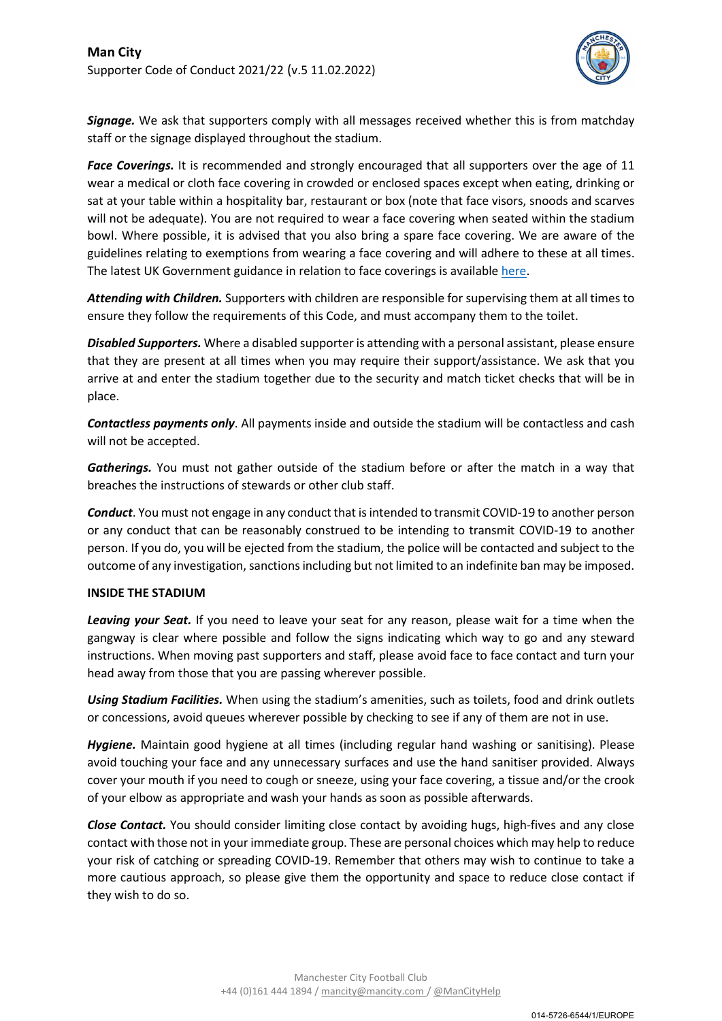

**Signage.** We ask that supporters comply with all messages received whether this is from matchday staff or the signage displayed throughout the stadium.

Face Coverings. It is recommended and strongly encouraged that all supporters over the age of 11 wear a medical or cloth face covering in crowded or enclosed spaces except when eating, drinking or sat at your table within a hospitality bar, restaurant or box (note that face visors, snoods and scarves will not be adequate). You are not required to wear a face covering when seated within the stadium bowl. Where possible, it is advised that you also bring a spare face covering. We are aware of the guidelines relating to exemptions from wearing a face covering and will adhere to these at all times. The latest UK Government guidance in relation to face coverings is available here.

Attending with Children. Supporters with children are responsible for supervising them at all times to ensure they follow the requirements of this Code, and must accompany them to the toilet.

**Disabled Supporters.** Where a disabled supporter is attending with a personal assistant, please ensure that they are present at all times when you may require their support/assistance. We ask that you arrive at and enter the stadium together due to the security and match ticket checks that will be in place.

Contactless payments only. All payments inside and outside the stadium will be contactless and cash will not be accepted.

Gatherings. You must not gather outside of the stadium before or after the match in a way that breaches the instructions of stewards or other club staff.

**Conduct**. You must not engage in any conduct that is intended to transmit COVID-19 to another person or any conduct that can be reasonably construed to be intending to transmit COVID-19 to another person. If you do, you will be ejected from the stadium, the police will be contacted and subject to the outcome of any investigation, sanctions including but not limited to an indefinite ban may be imposed.

### INSIDE THE STADIUM

Leaving your Seat. If you need to leave your seat for any reason, please wait for a time when the gangway is clear where possible and follow the signs indicating which way to go and any steward instructions. When moving past supporters and staff, please avoid face to face contact and turn your head away from those that you are passing wherever possible.

Using Stadium Facilities. When using the stadium's amenities, such as toilets, food and drink outlets or concessions, avoid queues wherever possible by checking to see if any of them are not in use.

Hygiene. Maintain good hygiene at all times (including regular hand washing or sanitising). Please avoid touching your face and any unnecessary surfaces and use the hand sanitiser provided. Always cover your mouth if you need to cough or sneeze, using your face covering, a tissue and/or the crook of your elbow as appropriate and wash your hands as soon as possible afterwards.

**Close Contact.** You should consider limiting close contact by avoiding hugs, high-fives and any close contact with those not in your immediate group. These are personal choices which may help to reduce your risk of catching or spreading COVID-19. Remember that others may wish to continue to take a more cautious approach, so please give them the opportunity and space to reduce close contact if they wish to do so.